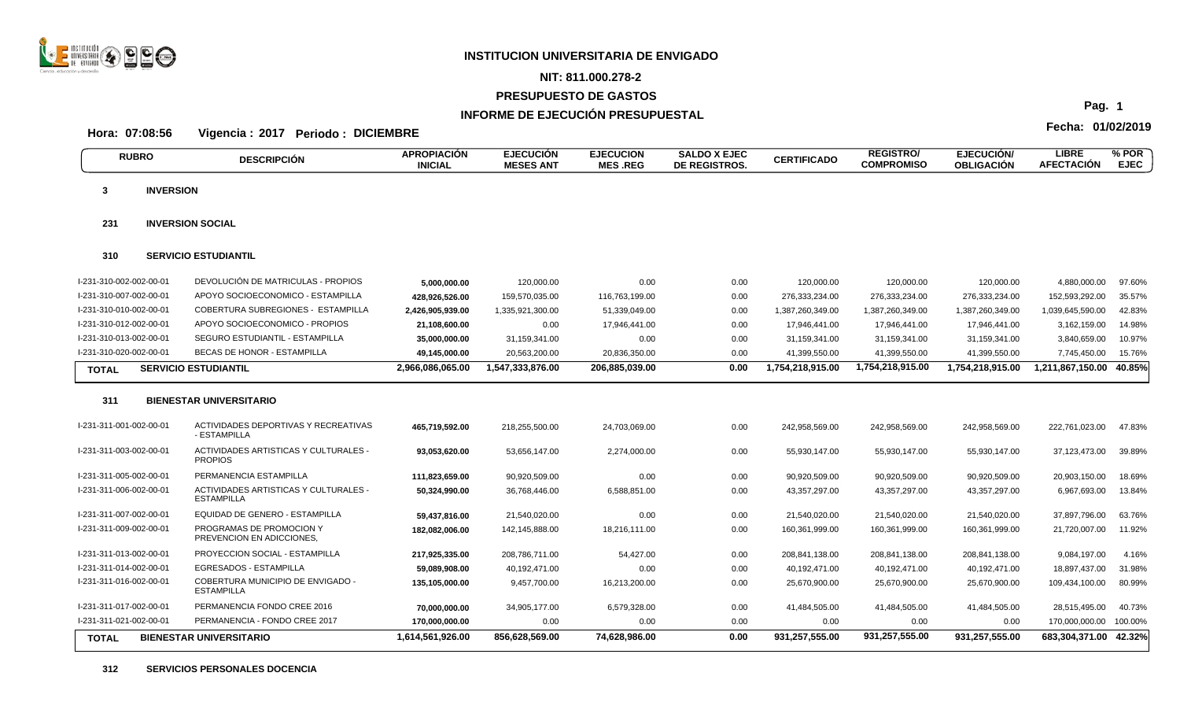

# **NIT: 811.000.278-2**

# **PRESUPUESTO DE GASTOS**

# **INFORME DE EJECUCIÓN PRESUPUESTAL**

**Fecha: 01/02/2019 Hora: 07:08:56 Vigencia : 2017 Periodo : DICIEMBRE**

|                         | <b>RUBRO</b>     | <b>DESCRIPCIÓN</b>                                             | <b>APROPIACIÓN</b><br><b>INICIAL</b> | <b>EJECUCIÓN</b><br><b>MESES ANT</b> | <b>EJECUCION</b><br><b>MES.REG</b> | <b>SALDO X EJEC</b><br><b>DE REGISTROS.</b> | <b>CERTIFICADO</b> | <b>REGISTRO/</b><br><b>COMPROMISO</b> | <b>EJECUCIÓN</b><br><b>OBLIGACIÓN</b> | <b>LIBRE</b><br><b>AFECTACIÓN</b> | % POR<br><b>EJEC</b> |
|-------------------------|------------------|----------------------------------------------------------------|--------------------------------------|--------------------------------------|------------------------------------|---------------------------------------------|--------------------|---------------------------------------|---------------------------------------|-----------------------------------|----------------------|
| 3                       | <b>INVERSION</b> |                                                                |                                      |                                      |                                    |                                             |                    |                                       |                                       |                                   |                      |
| 231                     |                  | <b>INVERSION SOCIAL</b>                                        |                                      |                                      |                                    |                                             |                    |                                       |                                       |                                   |                      |
| 310                     |                  | <b>SERVICIO ESTUDIANTIL</b>                                    |                                      |                                      |                                    |                                             |                    |                                       |                                       |                                   |                      |
| I-231-310-002-002-00-01 |                  | DEVOLUCIÓN DE MATRICULAS - PROPIOS                             | 5,000,000.00                         | 120,000.00                           | 0.00                               | 0.00                                        | 120,000.00         | 120,000.00                            | 120,000.00                            | 4,880,000.00                      | 97.60%               |
| I-231-310-007-002-00-01 |                  | APOYO SOCIOECONOMICO - ESTAMPILLA                              | 428,926,526.00                       | 159,570,035.00                       | 116,763,199.00                     | 0.00                                        | 276,333,234.00     | 276,333,234.00                        | 276,333,234.00                        | 152,593,292.00                    | 35.57%               |
| I-231-310-010-002-00-01 |                  | COBERTURA SUBREGIONES - ESTAMPILLA                             | 2,426,905,939.00                     | 1,335,921,300.00                     | 51,339,049.00                      | 0.00                                        | 1,387,260,349.00   | 1,387,260,349.00                      | 1,387,260,349.00                      | 1,039,645,590.00                  | 42.83%               |
| I-231-310-012-002-00-01 |                  | APOYO SOCIOECONOMICO - PROPIOS                                 | 21,108,600.00                        | 0.00                                 | 17,946,441.00                      | 0.00                                        | 17,946,441.00      | 17,946,441.00                         | 17,946,441.00                         | 3,162,159.00                      | 14.98%               |
| I-231-310-013-002-00-01 |                  | SEGURO ESTUDIANTIL - ESTAMPILLA                                | 35,000,000.00                        | 31,159,341.00                        | 0.00                               | 0.00                                        | 31,159,341.00      | 31,159,341.00                         | 31,159,341.00                         | 3,840,659.00                      | 10.97%               |
| I-231-310-020-002-00-01 |                  | <b>BECAS DE HONOR - ESTAMPILLA</b>                             | 49,145,000.00                        | 20,563,200.00                        | 20,836,350.00                      | 0.00                                        | 41,399,550.00      | 41,399,550.00                         | 41,399,550.00                         | 7,745,450.00                      | 15.76%               |
| <b>TOTAL</b>            |                  | <b>SERVICIO ESTUDIANTIL</b>                                    | 2,966,086,065.00                     | 1,547,333,876.00                     | 206,885,039.00                     | 0.00                                        | 1,754,218,915.00   | 1,754,218,915.00                      | 1,754,218,915.00                      | 1,211,867,150.00                  | 40.85%               |
| 311                     |                  | <b>BIENESTAR UNIVERSITARIO</b>                                 |                                      |                                      |                                    |                                             |                    |                                       |                                       |                                   |                      |
| I-231-311-001-002-00-01 |                  | ACTIVIDADES DEPORTIVAS Y RECREATIVAS<br>- ESTAMPILLA           | 465,719,592.00                       | 218,255,500.00                       | 24,703,069.00                      | 0.00                                        | 242,958,569.00     | 242,958,569.00                        | 242,958,569.00                        | 222,761,023.00                    | 47.83%               |
| I-231-311-003-002-00-01 |                  | <b>ACTIVIDADES ARTISTICAS Y CULTURALES -</b><br><b>PROPIOS</b> | 93,053,620.00                        | 53,656,147.00                        | 2,274,000.00                       | 0.00                                        | 55,930,147.00      | 55,930,147.00                         | 55,930,147.00                         | 37,123,473.00                     | 39.89%               |
| I-231-311-005-002-00-01 |                  | PERMANENCIA ESTAMPILLA                                         | 111,823,659.00                       | 90,920,509.00                        | 0.00                               | 0.00                                        | 90,920,509.00      | 90,920,509.00                         | 90,920,509.00                         | 20,903,150.00                     | 18.69%               |
| I-231-311-006-002-00-01 |                  | ACTIVIDADES ARTISTICAS Y CULTURALES -<br><b>ESTAMPILLA</b>     | 50,324,990.00                        | 36,768,446.00                        | 6,588,851.00                       | 0.00                                        | 43,357,297.00      | 43,357,297.00                         | 43,357,297.00                         | 6,967,693.00                      | 13.84%               |
| I-231-311-007-002-00-01 |                  | EQUIDAD DE GENERO - ESTAMPILLA                                 | 59,437,816.00                        | 21,540,020.00                        | 0.00                               | 0.00                                        | 21,540,020.00      | 21,540,020.00                         | 21,540,020.00                         | 37,897,796.00                     | 63.76%               |
| I-231-311-009-002-00-01 |                  | PROGRAMAS DE PROMOCION Y<br>PREVENCION EN ADICCIONES,          | 182,082,006.00                       | 142,145,888.00                       | 18,216,111.00                      | 0.00                                        | 160,361,999.00     | 160,361,999.00                        | 160,361,999.00                        | 21,720,007.00                     | 11.92%               |
| I-231-311-013-002-00-01 |                  | PROYECCION SOCIAL - ESTAMPILLA                                 | 217.925.335.00                       | 208.786.711.00                       | 54,427.00                          | 0.00                                        | 208,841,138.00     | 208,841,138.00                        | 208,841,138.00                        | 9,084,197.00                      | 4.16%                |
| I-231-311-014-002-00-01 |                  | EGRESADOS - ESTAMPILLA                                         | 59,089,908.00                        | 40,192,471.00                        | 0.00                               | 0.00                                        | 40,192,471.00      | 40,192,471.00                         | 40,192,471.00                         | 18,897,437.00                     | 31.98%               |
| I-231-311-016-002-00-01 |                  | <b>COBERTURA MUNICIPIO DE ENVIGADO -</b><br><b>ESTAMPILLA</b>  | 135,105,000.00                       | 9,457,700.00                         | 16,213,200.00                      | 0.00                                        | 25,670,900.00      | 25,670,900.00                         | 25,670,900.00                         | 109,434,100.00                    | 80.99%               |
| I-231-311-017-002-00-01 |                  | PERMANENCIA FONDO CREE 2016                                    | 70,000,000.00                        | 34,905,177.00                        | 6,579,328.00                       | 0.00                                        | 41,484,505.00      | 41,484,505.00                         | 41,484,505.00                         | 28,515,495.00                     | 40.73%               |
| I-231-311-021-002-00-01 |                  | PERMANENCIA - FONDO CREE 2017                                  | 170,000,000.00                       | 0.00                                 | 0.00                               | 0.00                                        | 0.00               | 0.00                                  | 0.00                                  | 170,000,000.00                    | 100.00%              |
| <b>TOTAL</b>            |                  | <b>BIENESTAR UNIVERSITARIO</b>                                 | 1,614,561,926.00                     | 856,628,569.00                       | 74,628,986.00                      | 0.00                                        | 931,257,555.00     | 931,257,555.00                        | 931,257,555.00                        | 683,304,371.00                    | 42.32%               |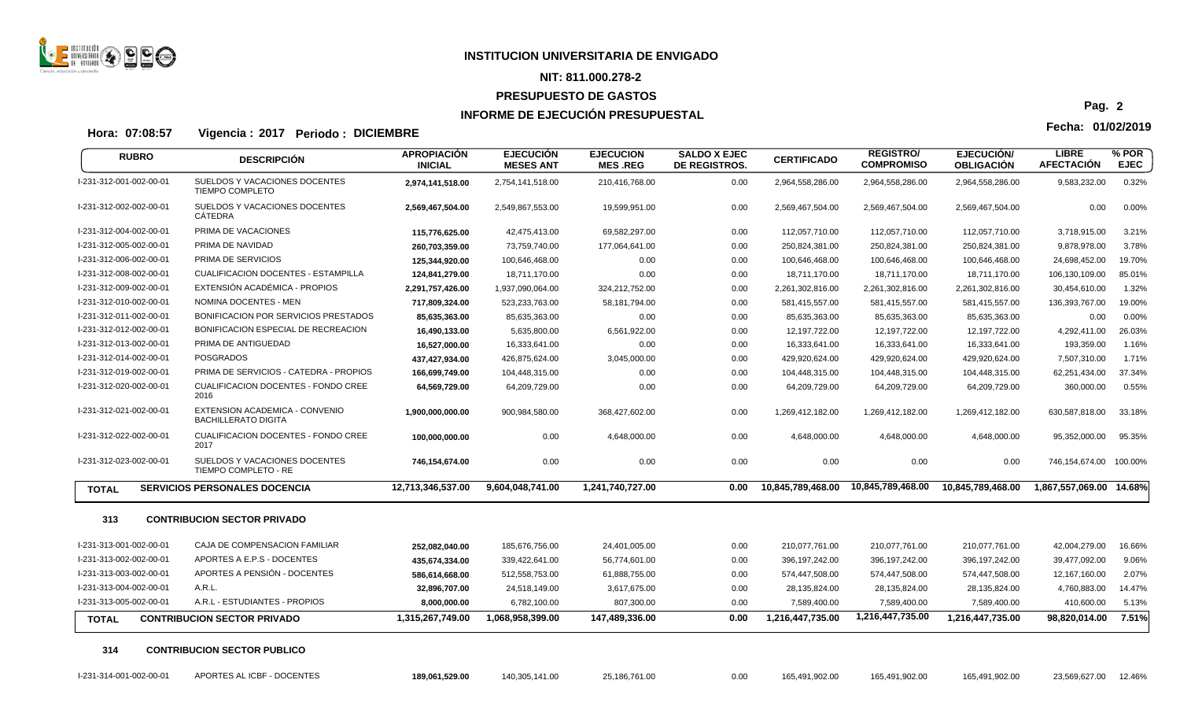

#### **NIT: 811.000.278-2**

#### **PRESUPUESTO DE GASTOS**

## **INFORME DE EJECUCIÓN PRESUPUESTAL**

**Fecha: 01/02/2019 Hora: 07:08:57 Vigencia : 2017 Periodo : DICIEMBRE**

**APROPIACIÓN INICIAL EJECUCIÓN MESES ANT EJECUCION MES .REG SALDO X EJEC DE REGISTROS. CERTIFICADO REGISTRO/ COMPROMISO EJECUCIÓN/ OBLIGACIÓN LIBRE**<br>AFECTACIÓN **AFECTACIÓN RUBRO % POR** DESCRIPCION ANTIGRADON EJECTODOM EJECTODOM ELECTRODOM ORIEDO CERTIFICADO NEJECTROMISO OBLIGACIÓN AFECTACIÓN EJEC<br>INICIAL MESES ANT MES REG DE REGISTROS. COMPROMISO OBLIGACIÓN AFECTACIÓN EJEC I-231-312-001-002-00-01 SUELDOS Y VACACIONES DOCENTES **2,974,141,518.00** 2,754,141,518.00 210,416,768.00 0.00 2,964,558,286.00 2,964,558,286.00 2,964,558,286.00 9,583,232.00 0.32% TIEMPO COMPLETO I-231-312-002-002-00-01 SUELDOS Y VACACIONES DOCENTES **2,569,467,504.00** 2,549,867,553.00 19,599,951.00 0.00 2,569,467,504.00 2,569,467,504.00 2,569,467,504.00 0.00 0.00% CÁTEDRA I-231-312-004-002-00-01 PRIMA DE VACACIONES **115,776,625.00** 42,475,413.00 69,582,297.00 0.00 112,057,710.00 112,057,710.00 112,057,710.00 3,718,915.00 3.21% I-231-312-005-002-00-01 PRIMA DE NAVIDAD **260,703,359.00** 73,759,740.00 177,064,641.00 0.00 250,824,381.00 250,824,381.00 250,824,381.00 9,878,978.00 3.78% I-231-312-006-002-00-01 PRIMA DE SERVICIOS **125,344,920.00** 100,646,468.00 0.00 0.00 100,646,468.00 100,646,468.00 100,646,468.00 24,698,452.00 19.70% I-231-312-008-002-00-01 CUALIFICACION DOCENTES - ESTAMPILLA **124,841,279.00** 18,711,170.00 0.00 0.00 18,711,170.00 18,711,170.00 18,711,170.00 106,130,109.00 85.01% I-231-312-009-002-00-01 EXTENSIÓN ACADÉMICA - PROPIOS **2,291,757,426.00** 1,937,090,064.00 324,212,752.00 0.00 2,261,302,816.00 2,261,302,816.00 2,261,302,816.00 30,454,610.00 1.32% I-231-312-010-002-00-01 NOMINA DOCENTES - MEN **717,809,324.00** 523,233,763.00 58,181,794.00 0.00 581,415,557.00 581,415,557.00 581,415,557.00 136,393,767.00 19.00% I-231-312-011-002-00-01 BONIFICACION POR SERVICIOS PRESTADOS **85,635,363.00** 85,635,363.00 0.00 0.00 85,635,363.00 85,635,363.00 85,635,363.00 0.00 0.00% I-231-312-012-002-00-01 BONIFICACION ESPECIAL DE RECREACION **16,490,133.00** 5,635,800.00 6,561,922.00 0.00 12,197,722.00 12,197,722.00 12,197,722.00 4,292,411.00 26.03% I-231-312-013-002-00-01 PRIMA DE ANTIGUEDAD **16,527,000.00** 16,333,641.00 0.00 0.00 16,333,641.00 16,333,641.00 16,333,641.00 193,359.00 1.16% I-231-312-014-002-00-01 POSGRADOS **437,427,934.00** 426,875,624.00 3,045,000.00 0.00 429,920,624.00 429,920,624.00 429,920,624.00 7,507,310.00 1.71% I-231-312-019-002-00-01 PRIMA DE SERVICIOS - CATEDRA - PROPIOS **166,699,749.00** 104,448,315.00 0.00 0.00 104,448,315.00 104,448,315.00 104,448,315.00 62,251,434.00 37.34% I-231-312-020-002-00-01 CUALIFICACION DOCENTES - FONDO CREE **64,569,729.00** 64,209,729.00 0.00 0.00 64,209,729.00 64,209,729.00 64,209,729.00 360,000.00 0.55% 2016 I-231-312-021-002-00-01 EXTENSION ACADEMICA - CONVENIO **1,900,000,000.00** 900,984,580.00 368,427,602.00 0.00 1,269,412,182.00 1,269,412,182.00 1,269,412,182.00 630,587,818.00 33.18% BACHILLERATO DIGITA I-231-312-022-002-00-01 CUALIFICACION DOCENTES - FONDO CREE **100,000,000.00** 0.00 4,648,000.00 0.00 4,648,000.00 4,648,000.00 4,648,000.00 95,352,000.00 95.35% 2017 I-231-312-023-002-00-01 SUELDOS Y VACACIONES DOCENTES **746,154,674.00** 0.00 0.00 0.00 0.00 0.00 0.00 746,154,674.00 100.00% TIEMPO COMPLETO - RE TOTAL SERVICIOS PERSONALES DOCENCIA 2.713,346,537.00 9,604,048,741.00 1,241,740,727.00 0.00 10,845,789,468.00 10,845,789,468.00 10,845,789,468.00 1,845,789,468.00 1,8645,789,468.00 1,867,557,069.00 14.68% **313 CONTRIBUCION SECTOR PRIVADO** I-231-313-001-002-00-01 CAJA DE COMPENSACION FAMILIAR **252,082,040.00** 185,676,756.00 24,401,005.00 0.00 210,077,761.00 210,077,761.00 210,077,761.00 42,004,279.00 16.66% I-231-313-002-002-00-01 APORTES A E.P.S - DOCENTES **435,674,334.00** 339,422,641.00 56,774,601.00 0.00 396,197,242.00 396,197,242.00 396,197,242.00 39,477,092.00 9.06% I-231-313-003-002-00-01 APORTES A PENSIÓN - DOCENTES **586,614,668.00** 512,558,753.00 61,888,755.00 0.00 574,447,508.00 574,447,508.00 574,447,508.00 12,167,160.00 2.07% I-231-313-004-002-00-01 A.R.L. **32,896,707.00** 24,518,149.00 3,617,675.00 0.00 28,135,824.00 28,135,824.00 28,135,824.00 4,760,883.00 14.47% I-231-313-005-002-00-01 A.R.L - ESTUDIANTES - PROPIOS **8,000,000.00** 6,782,100.00 807,300.00 0.00 7,589,400.00 7,589,400.00 7,589,400.00 410,600.00 5.13% TOTAL CONTRIBUCION SECTOR PRIVADO 1.315,267,749.00 1,068,958,399.00 147,489,336.00 0.00 1,216,447,735.00 1,216,447,735.00 1,216,447,735.00 98,820,014.00 7.51% **314 CONTRIBUCION SECTOR PUBLICO**

I-231-314-001-002-00-01 APORTES AL ICBF - DOCENTES **189,061,529.00** 140,305,141.00 25,186,761.00 0.00 165,491,902.00 165,491,902.00 165,491,902.00 23,569,627.00 12.46%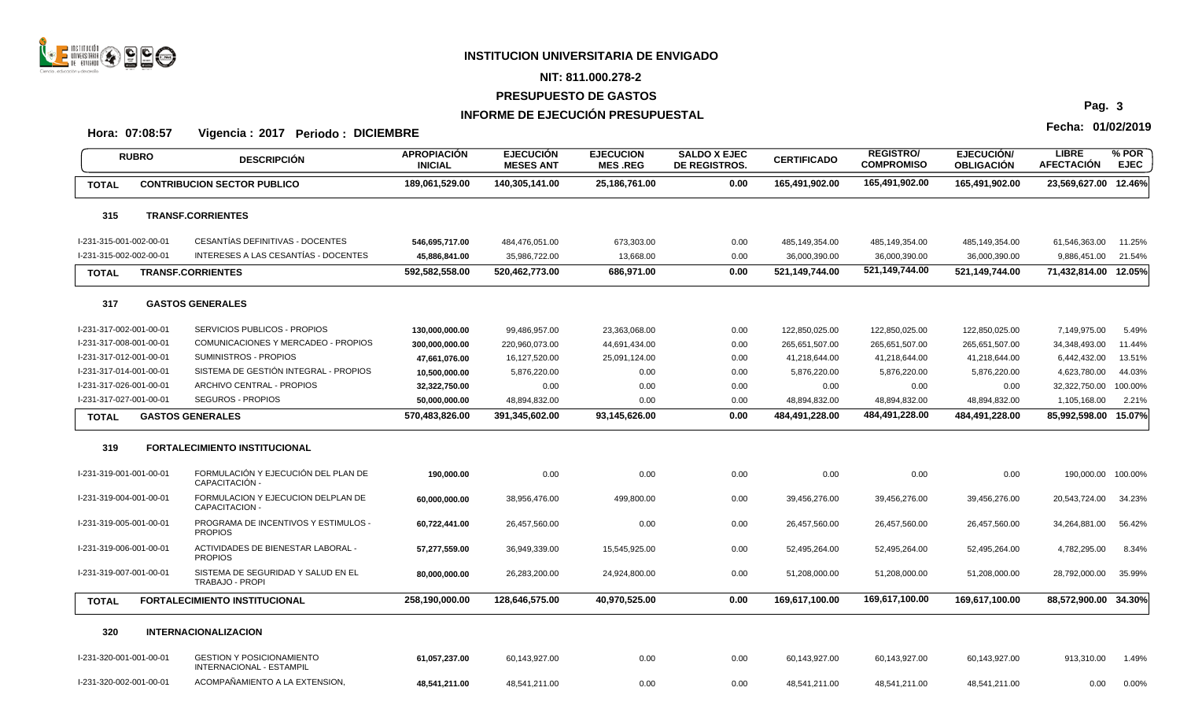

# **NIT: 811.000.278-2**

# **PRESUPUESTO DE GASTOS**

# **INFORME DE EJECUCIÓN PRESUPUESTAL**

# **Fecha: 01/02/2019 Hora: 07:08:57 Vigencia : 2017 Periodo : DICIEMBRE**

| <b>RUBRO</b>            | <b>DESCRIPCIÓN</b>                                                  | <b>APROPIACION</b><br><b>INICIAL</b> | <b>EJECUCION</b><br><b>MESES ANT</b> | <b>EJECUCION</b><br><b>MES REG</b> | <b>SALDO X EJEC</b><br>DE REGISTROS. | <b>CERTIFICADO</b> | <b>REGISTRO/</b><br><b>COMPROMISO</b> | <b>EJECUCION/</b><br><b>OBLIGACIÓN</b> | <b>LIBRE</b><br><b>AFECTACIÓN</b> | % POR<br><b>EJEC</b> |
|-------------------------|---------------------------------------------------------------------|--------------------------------------|--------------------------------------|------------------------------------|--------------------------------------|--------------------|---------------------------------------|----------------------------------------|-----------------------------------|----------------------|
| <b>TOTAL</b>            | <b>CONTRIBUCION SECTOR PUBLICO</b>                                  | 189,061,529.00                       | 140,305,141.00                       | 25,186,761.00                      | 0.00                                 | 165,491,902.00     | 165,491,902.00                        | 165,491,902.00                         | 23,569,627.00 12.46%              |                      |
| 315                     | <b>TRANSF.CORRIENTES</b>                                            |                                      |                                      |                                    |                                      |                    |                                       |                                        |                                   |                      |
| I-231-315-001-002-00-01 | CESANTÍAS DEFINITIVAS - DOCENTES                                    | 546,695,717.00                       | 484,476,051.00                       | 673,303.00                         | 0.00                                 | 485,149,354.00     | 485,149,354.00                        | 485,149,354.00                         | 61,546,363.00                     | 11.25%               |
| I-231-315-002-002-00-01 | INTERESES A LAS CESANTÍAS - DOCENTES                                | 45,886,841.00                        | 35,986,722.00                        | 13,668.00                          | 0.00                                 | 36,000,390.00      | 36,000,390.00                         | 36,000,390.00                          | 9,886,451.00                      | 21.54%               |
| <b>TOTAL</b>            | <b>TRANSF.CORRIENTES</b>                                            | 592,582,558.00                       | 520,462,773.00                       | 686,971.00                         | 0.00                                 | 521,149,744.00     | 521,149,744.00                        | 521,149,744.00                         | 71,432,814.00 12.05%              |                      |
| 317                     | <b>GASTOS GENERALES</b>                                             |                                      |                                      |                                    |                                      |                    |                                       |                                        |                                   |                      |
| I-231-317-002-001-00-01 | SERVICIOS PUBLICOS - PROPIOS                                        | 130,000,000.00                       | 99,486,957.00                        | 23,363,068.00                      | 0.00                                 | 122,850,025.00     | 122,850,025.00                        | 122,850,025.00                         | 7,149,975.00                      | 5.49%                |
| I-231-317-008-001-00-01 | COMUNICACIONES Y MERCADEO - PROPIOS                                 | 300,000,000.00                       | 220,960,073.00                       | 44,691,434.00                      | 0.00                                 | 265,651,507.00     | 265,651,507.00                        | 265,651,507.00                         | 34,348,493.00                     | 11.44%               |
| I-231-317-012-001-00-01 | <b>SUMINISTROS - PROPIOS</b>                                        | 47,661,076.00                        | 16,127,520.00                        | 25,091,124.00                      | 0.00                                 | 41,218,644.00      | 41,218,644.00                         | 41,218,644.00                          | 6,442,432.00                      | 13.51%               |
| I-231-317-014-001-00-01 | SISTEMA DE GESTIÓN INTEGRAL - PROPIOS                               | 10,500,000.00                        | 5,876,220.00                         | 0.00                               | 0.00                                 | 5,876,220.00       | 5,876,220.00                          | 5,876,220.00                           | 4,623,780.00                      | 44.03%               |
| I-231-317-026-001-00-01 | ARCHIVO CENTRAL - PROPIOS                                           | 32,322,750.00                        | 0.00                                 | 0.00                               | 0.00                                 | 0.00               | 0.00                                  | 0.00                                   | 32,322,750.00                     | 100.00%              |
| I-231-317-027-001-00-01 | <b>SEGUROS - PROPIOS</b>                                            | 50,000,000.00                        | 48,894,832.00                        | 0.00                               | 0.00                                 | 48,894,832.00      | 48,894,832.00                         | 48,894,832.00                          | 1,105,168.00                      | 2.21%                |
| <b>TOTAL</b>            | <b>GASTOS GENERALES</b>                                             | 570,483,826.00                       | 391,345,602.00                       | 93,145,626.00                      | 0.00                                 | 484,491,228.00     | 484,491,228.00                        | 484,491,228.00                         | 85,992,598.00                     | 15.07%               |
| 319                     | <b>FORTALECIMIENTO INSTITUCIONAL</b>                                |                                      |                                      |                                    |                                      |                    |                                       |                                        |                                   |                      |
| I-231-319-001-001-00-01 | FORMULACIÓN Y EJECUCIÓN DEL PLAN DE<br>CAPACITACIÓN -               | 190,000.00                           | 0.00                                 | 0.00                               | 0.00                                 | 0.00               | 0.00                                  | 0.00                                   | 190,000.00 100.00%                |                      |
| I-231-319-004-001-00-01 | FORMULACION Y EJECUCION DELPLAN DE<br>CAPACITACION -                | 60.000.000.00                        | 38,956,476.00                        | 499,800.00                         | 0.00                                 | 39,456,276.00      | 39,456,276.00                         | 39,456,276.00                          | 20,543,724.00                     | 34.23%               |
| I-231-319-005-001-00-01 | PROGRAMA DE INCENTIVOS Y ESTIMULOS -<br><b>PROPIOS</b>              | 60,722,441.00                        | 26,457,560.00                        | 0.00                               | 0.00                                 | 26,457,560.00      | 26,457,560.00                         | 26,457,560.00                          | 34,264,881.00                     | 56.42%               |
| l-231-319-006-001-00-01 | ACTIVIDADES DE BIENESTAR LABORAL -<br><b>PROPIOS</b>                | 57,277,559.00                        | 36,949,339.00                        | 15,545,925.00                      | 0.00                                 | 52,495,264.00      | 52,495,264.00                         | 52,495,264.00                          | 4,782,295.00                      | 8.34%                |
| I-231-319-007-001-00-01 | SISTEMA DE SEGURIDAD Y SALUD EN EL<br><b>TRABAJO - PROPI</b>        | 80,000,000.00                        | 26,283,200.00                        | 24,924,800.00                      | 0.00                                 | 51,208,000.00      | 51,208,000.00                         | 51,208,000.00                          | 28,792,000.00                     | 35.99%               |
| <b>TOTAL</b>            | FORTALECIMIENTO INSTITUCIONAL                                       | 258,190,000.00                       | 128,646,575.00                       | 40,970,525.00                      | 0.00                                 | 169,617,100.00     | 169,617,100.00                        | 169,617,100.00                         | 88,572,900.00 34.30%              |                      |
| 320                     | <b>INTERNACIONALIZACION</b>                                         |                                      |                                      |                                    |                                      |                    |                                       |                                        |                                   |                      |
| l-231-320-001-001-00-01 | <b>GESTION Y POSICIONAMIENTO</b><br><b>INTERNACIONAL - ESTAMPIL</b> | 61,057,237.00                        | 60,143,927.00                        | 0.00                               | 0.00                                 | 60,143,927.00      | 60,143,927.00                         | 60,143,927.00                          | 913,310.00                        | 1.49%                |
| I-231-320-002-001-00-01 | ACOMPAÑAMIENTO A LA EXTENSION.                                      | 48,541,211.00                        | 48.541.211.00                        | 0.00                               | 0.00                                 | 48.541.211.00      | 48.541.211.00                         | 48.541.211.00                          | 0.00                              | 0.00%                |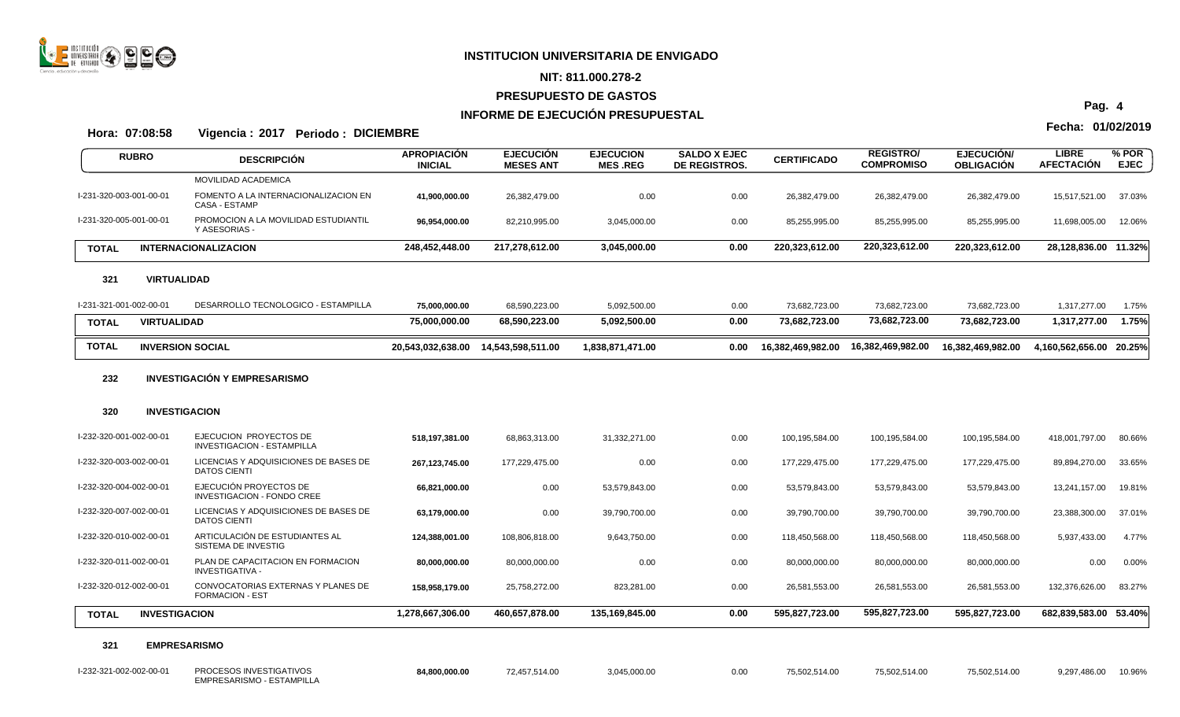

#### **NIT: 811.000.278-2**

#### **PRESUPUESTO DE GASTOS**

## **INFORME DE EJECUCIÓN PRESUPUESTAL**

**Fecha: 01/02/2019 Hora: 07:08:58 Vigencia : 2017 Periodo : DICIEMBRE**

EMPRESARISMO - ESTAMPILLA

**APROPIACIÓN INICIAL EJECUCIÓN MESES ANT EJECUCION MES .REG SALDO X EJEC DE REGISTROS. CERTIFICADO REGISTRO/ COMPROMISO EJECUCIÓN/ OBLIGACIÓN LIBRE**<br>AFECTACIÓN **AFECTACIÓN RUBRO % POR** DESCRIPCION ANTIGRADON EJECTODOM EJECTODOM ELECTRODOM ORIEDO CERTIFICADO NEJECTROMISO OBLIGACIÓN AFECTACIÓN EJEC<br>INICIAL MESES ANT MES REG DE REGISTROS. COMPROMISO OBLIGACIÓN AFECTACIÓN EJEC MOVILIDAD ACADEMICA I-231-320-003-001-00-01 FOMENTO A LA INTERNACIONALIZACION EN **41,900,000.00** 26,382,479.00 0.00 0.00 26,382,479.00 26,382,479.00 26,382,479.00 15,517,521.00 37.03% CASA - ESTAMP I-231-320-005-001-00-01 PROMOCION A LA MOVILIDAD ESTUDIANTIL **96,954,000.00** 82,210,995.00 3,045,000.00 0.00 85,255,995.00 85,255,995.00 85,255,995.00 11,698,005.00 12.06% Y ASESORIAS - **TOTAL INTERNACIONALIZACION 248,452,448.00 217,278,612.00 3,045,000.00 0.00 220,323,612.00 220,323,612.00 220,323,612.00 28,128,836.00 11.32% 321 VIRTUALIDAD** I-231-321-001-002-00-01 DESARROLLO TECNOLOGICO - ESTAMPILLA **75,000,000.00** 68,590,223.00 5,092,500.00 0.00 73,682,723.00 73,682,723.00 73,682,723.00 1,317,277.00 1.75% **TOTAL VIRTUALIDAD 75,000,000.00 68,590,223.00 5,092,500.00 0.00 73,682,723.00 73,682,723.00 73,682,723.00 1,317,277.00 1.75%** TOTAL INVERSION SOCIAL 20,543,032,638.00 14,543,598,511.00 1,838,871,471.00 0.00 16,382,469,982.00 16,382,469,982.00 16,382,469,982.00 4,160,562,656.00 20.25% **232 INVESTIGACIÓN Y EMPRESARISMO 320 INVESTIGACION** I-232-320-001-002-00-01 EJECUCION PROYECTOS DE **518,197,381.00** 68,863,313.00 31,332,271.00 0.00 100,195,584.00 100,195,584.00 100,195,584.00 418,001,797.00 80.66% INVESTIGACION - ESTAMPILLA I-232-320-003-002-00-01 LICENCIAS Y ADQUISICIONES DE BASES DE **267,123,745.00** 177,229,475.00 0.00 0.00 177,229,475.00 177,229,475.00 177,229,475.00 89,894,270.00 33.65% DATOS CIENTI I-232-320-004-002-00-01 EJECUCIÓN PROYECTOS DE **66,821,000.00** 0.00 53,579,843.00 0.00 53,579,843.00 53,579,843.00 53,579,843.00 13,241,157.00 19.81% INVESTIGACION - FONDO CREE I-232-320-007-002-00-01 LICENCIAS Y ADQUISICIONES DE BASES DE **63,179,000.00** 0.00 39,790,700.00 0.00 39,790,700.00 39,790,700.00 39,790,700.00 23,388,300.00 37.01% DATOS CIENTI I-232-320-010-002-00-01 ARTICULACIÓN DE ESTUDIANTES AL **124,388,001.00** 108,806,818.00 9,643,750.00 0.00 118,450,568.00 118,450,568.00 118,450,568.00 5,937,433.00 4.77% SISTEMA DE INVESTIG I-232-320-011-002-00-01 PLAN DE CAPACITACION EN FORMACION **80,000,000.00** 80,000,000.00 0.00 0.00 80,000,000.00 80,000,000.00 80,000,000.00 0.00 0.00% INVESTIGATIVA - I-232-320-012-002-00-01 CONVOCATORIAS EXTERNAS Y PLANES DE **158,958,179.00** 25,758,272.00 823,281.00 0.00 26,581,553.00 26,581,553.00 26,581,553.00 132,376,626.00 83.27% FORMACION - EST **TOTAL INVESTIGACION 1,278,667,306.00 460,657,878.00 135,169,845.00 0.00 595,827,723.00 595,827,723.00 595,827,723.00 682,839,583.00 53.40% 321 EMPRESARISMO** I-232-321-002-002-00-01 PROCESOS INVESTIGATIVOS **84,800,000.00** 72,457,514.00 3,045,000.00 0.00 75,502,514.00 75,502,514.00 75,502,514.00 9,297,486.00 10.96%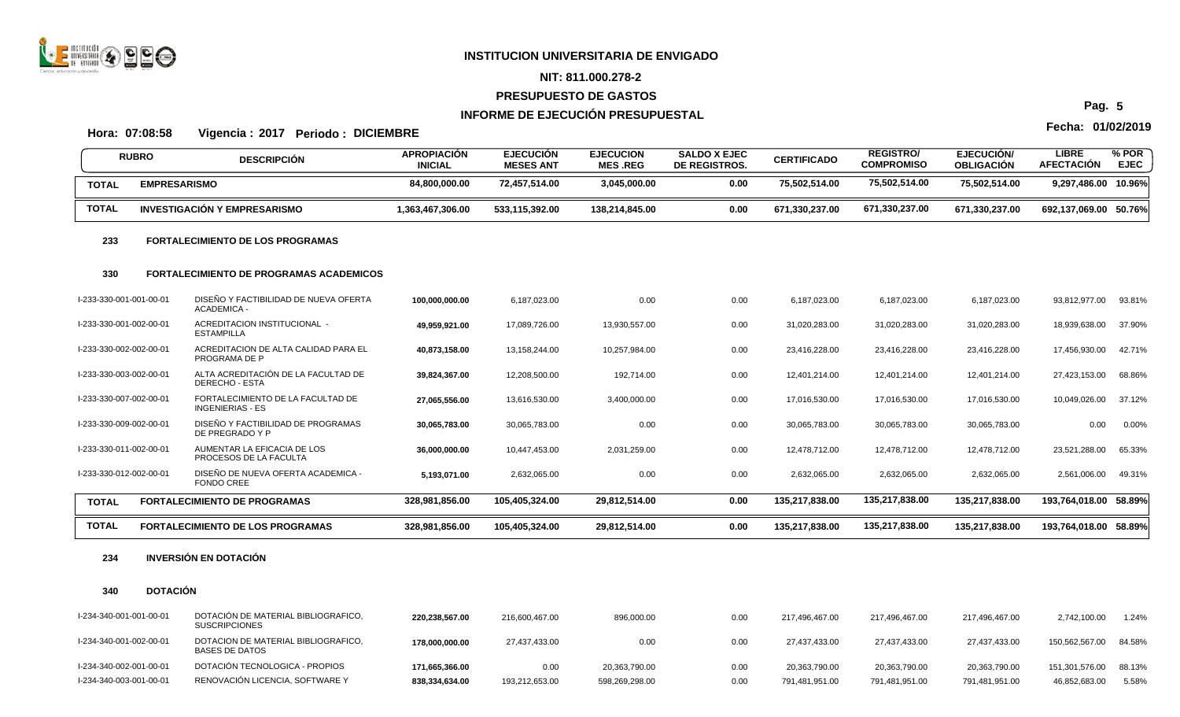

#### **NIT: 811.000.278-2**

#### **PRESUPUESTO DE GASTOS**

## **INFORME DE EJECUCIÓN PRESUPUESTAL**

# **Fecha: 01/02/2019 Hora: 07:08:58 Vigencia : 2017 Periodo : DICIEMBRE**

**APROPIACIÓN INICIAL EJECUCIÓN MESES ANT EJECUCION MES .REG SALDO X EJEC DE REGISTROS. CERTIFICADO REGISTRO/ COMPROMISO EJECUCIÓN/ OBLIGACIÓN LIBRE**<br>AFECTACIÓN **AFECTACIÓN RUBRO % POR** DESCRIPCION ANTIGRADON EJECTODOM EJECTODOM ELECTRODOM ORIEDO CERTIFICADO NEJECTROMISO OBLIGACIÓN AFECTACIÓN EJEC<br>INICIAL MESES ANT MES REG DE REGISTROS. COMPROMISO OBLIGACIÓN AFECTACIÓN EJEC **TOTAL EMPRESARISMO 84,800,000.00 72,457,514.00 3,045,000.00 0.00 75,502,514.00 75,502,514.00 75,502,514.00 9,297,486.00 10.96%** TOTAL INVESTIGACIÓN Y EMPRESARISMO 1,363,467,306.00 533,115,392.00 138,214,845.00 0.00 671,330,237.00 671,330,237.00 671,330,237.00 692,137,069.00 50.76% **233 FORTALECIMIENTO DE LOS PROGRAMAS 330 FORTALECIMIENTO DE PROGRAMAS ACADEMICOS** I-233-330-001-001-00-01 DISEÑO Y FACTIBILIDAD DE NUEVA OFERTA **100,000,000.00** 6,187,023.00 0.00 0.00 6,187,023.00 6,187,023.00 6,187,023.00 93,812,977.00 93.81% ACADEMICA - I-233-330-001-002-00-01 ACREDITACION INSTITUCIONAL - **49,959,921.00** 17,089,726.00 13,930,557.00 0.00 31,020,283.00 31,020,283.00 31,020,283.00 18,939,638.00 37.90% ESTAMPILLA I-233-330-002-002-00-01 ACREDITACION DE ALTA CALIDAD PARA EL **40,873,158.00** 13,158,244.00 10,257,984.00 0.00 23,416,228.00 23,416,228.00 23,416,228.00 17,456,930.00 42.71% PROGRAMA DE P I-233-330-003-002-00-01 ALTA ACREDITACIÓN DE LA FACULTAD DE **39,824,367.00** 12,208,500.00 192,714.00 0.00 12,401,214.00 12,401,214.00 12,401,214.00 27,423,153.00 68.86% DERECHO - ESTA I-233-330-007-002-00-01 FORTALECIMIENTO DE LA FACULTAD DE **27,065,556.00** 13,616,530.00 3,400,000.00 0.00 17,016,530.00 17,016,530.00 17,016,530.00 10,049,026.00 37.12% INGENIERIAS - ES I-233-330-009-002-00-01 DISEÑO Y FACTIBILIDAD DE PROGRAMAS **30,065,783.00** 30,065,783.00 0.00 0.00 30,065,783.00 30,065,783.00 30,065,783.00 0.00 0.00% DE PREGRADO Y P I-233-330-011-002-00-01 AUMENTAR LA EFICACIA DE LOS **36,000,000.00** 10,447,453.00 2,031,259.00 0.00 12,478,712.00 12,478,712.00 12,478,712.00 23,521,288.00 65.33% PROCESOS DE LA FACULTA I-233-330-012-002-00-01 DISEÑO DE NUEVA OFERTA ACADEMICA - **5,193,071.00** 2,632,065.00 0.00 0.00 2,632,065.00 2,632,065.00 2,632,065.00 2,561,006.00 49.31% FONDO CREE TOTAL FORTALECIMIENTO DE PROGRAMAS 328,981,856.00 105,405,324.00 29,812,514.00 0.00 135,217,838.00 135,217,838.00 135,217,838.00 135,217,838.00 193,764,018.00 58.89% TOTAL FORTALECIMIENTO DE LOS PROGRAMAS 328,981,856.00 105,405,324.00 29,812,514.00 0.00 135,217,838.00 135,217,838.00 135,217,838.00 135,217,838.00 135,217,838.00 135,217,838.00 135,217,838.00 158,99%

#### **234 INVERSIÓN EN DOTACIÓN**

#### **340 DOTACIÓN**

| l-234-340-001-001-00-01 | DOTACIÓN DE MATERIAL BIBLIOGRAFICO,<br><b>SUSCRIPCIONES</b> | 220.238.567.00 | 216,600,467.00 | 896,000.00     | 0.00 | 217.496.467.00 | 217.496.467.00 | 217,496,467.00 | 2,742,100.00   | 1.24%  |
|-------------------------|-------------------------------------------------------------|----------------|----------------|----------------|------|----------------|----------------|----------------|----------------|--------|
| l-234-340-001-002-00-01 | DOTACION DE MATERIAL BIBLIOGRAFICO,<br>BASES DE DATOS       | 178.000.000.00 | 27.437.433.00  | 0.00           | 0.00 | 27.437.433.00  | 27,437,433.00  | 27.437.433.00  | 150.562.567.00 | 84.58% |
| l-234-340-002-001-00-01 | DOTACIÓN TECNOLOGICA - PROPIOS                              | 171.665.366.00 | 0.00           | 20,363,790.00  | 0.00 | 20.363.790.00  | 20,363,790.00  | 20.363.790.00  | 151.301.576.00 | 88.13% |
| l-234-340-003-001-00-01 | RENOVACIÓN LICENCIA. SOFTWARE Y                             | 838,334,634.00 | 193,212,653.00 | 598,269,298.00 | 0.00 | 791.481.951.00 | 791.481.951.00 | 791.481.951.00 | 46,852,683.00  | 5.58%  |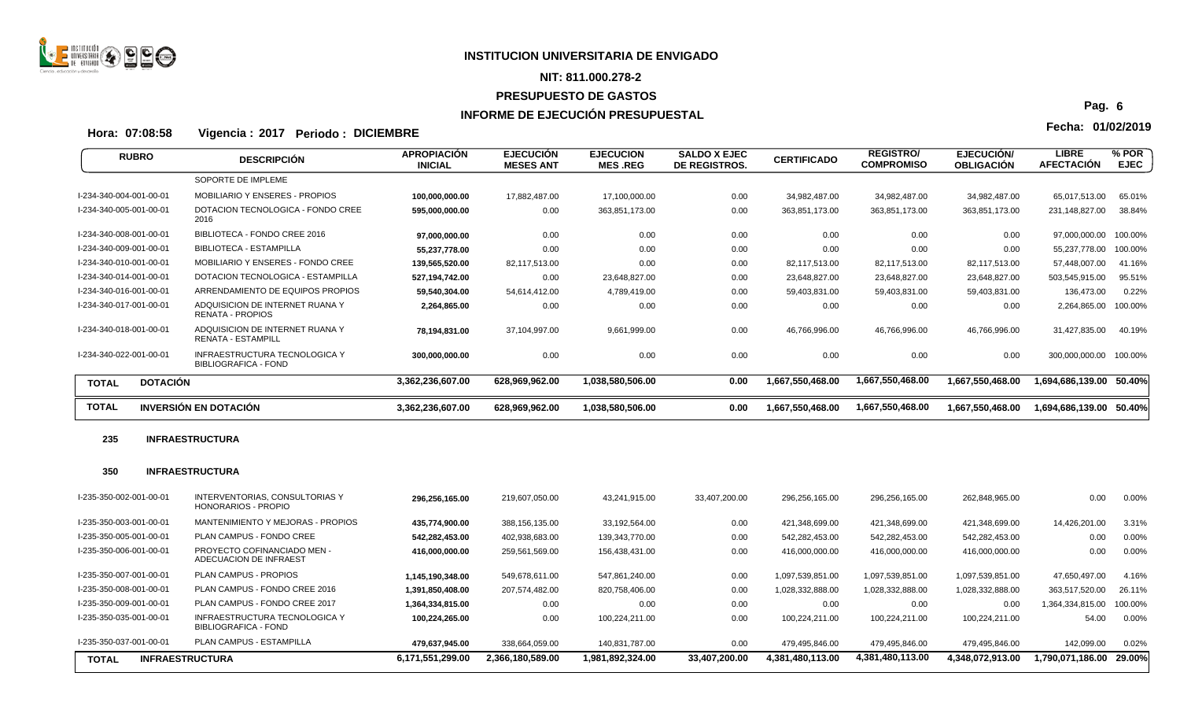

# **NIT: 811.000.278-2**

# **PRESUPUESTO DE GASTOS**

# **INFORME DE EJECUCIÓN PRESUPUESTAL**

**Fecha: 01/02/2019 Hora: 07:08:58 Vigencia : 2017 Periodo : DICIEMBRE**

| <b>RUBRO</b>                    | <b>DESCRIPCIÓN</b>                                           | <b>APROPIACIÓN</b><br><b>INICIAL</b> | <b>EJECUCIÓN</b><br><b>MESES ANT</b> | <b>EJECUCION</b><br><b>MES REG</b> | <b>SALDO X EJEC</b><br>DE REGISTROS. | <b>CERTIFICADO</b> | <b>REGISTRO/</b><br><b>COMPROMISO</b> | EJECUCIÓN/<br><b>OBLIGACIÓN</b> | <b>LIBRE</b><br><b>AFECTACION</b> | $%$ POR<br><b>EJEC</b> |
|---------------------------------|--------------------------------------------------------------|--------------------------------------|--------------------------------------|------------------------------------|--------------------------------------|--------------------|---------------------------------------|---------------------------------|-----------------------------------|------------------------|
|                                 | SOPORTE DE IMPLEME                                           |                                      |                                      |                                    |                                      |                    |                                       |                                 |                                   |                        |
| I-234-340-004-001-00-01         | <b>MOBILIARIO Y ENSERES - PROPIOS</b>                        | 100,000,000.00                       | 17,882,487.00                        | 17,100,000.00                      | 0.00                                 | 34,982,487.00      | 34,982,487.00                         | 34,982,487.00                   | 65,017,513.00                     | 65.01%                 |
| I-234-340-005-001-00-01         | DOTACION TECNOLOGICA - FONDO CREE<br>2016                    | 595,000,000.00                       | 0.00                                 | 363,851,173.00                     | 0.00                                 | 363,851,173.00     | 363,851,173.00                        | 363,851,173.00                  | 231,148,827.00                    | 38.84%                 |
| I-234-340-008-001-00-01         | BIBLIOTECA - FONDO CREE 2016                                 | 97,000,000.00                        | 0.00                                 | 0.00                               | 0.00                                 | 0.00               | 0.00                                  | 0.00                            | 97,000,000.00                     | 100.00%                |
| I-234-340-009-001-00-01         | BIBLIOTECA - ESTAMPILLA                                      | 55,237,778.00                        | 0.00                                 | 0.00                               | 0.00                                 | 0.00               | 0.00                                  | 0.00                            | 55,237,778.00                     | 100.00%                |
| I-234-340-010-001-00-01         | MOBILIARIO Y ENSERES - FONDO CREE                            | 139,565,520.00                       | 82,117,513.00                        | 0.00                               | 0.00                                 | 82,117,513.00      | 82,117,513.00                         | 82,117,513.00                   | 57,448,007.00                     | 41.16%                 |
| I-234-340-014-001-00-01         | DOTACION TECNOLOGICA - ESTAMPILLA                            | 527,194,742.00                       | 0.00                                 | 23,648,827.00                      | 0.00                                 | 23,648,827.00      | 23,648,827.00                         | 23,648,827.00                   | 503,545,915.00                    | 95.51%                 |
| I-234-340-016-001-00-01         | ARRENDAMIENTO DE EQUIPOS PROPIOS                             | 59,540,304.00                        | 54,614,412.00                        | 4,789,419.00                       | 0.00                                 | 59,403,831.00      | 59,403,831.00                         | 59,403,831.00                   | 136,473.00                        | 0.22%                  |
| I-234-340-017-001-00-01         | ADQUISICION DE INTERNET RUANA Y<br><b>RENATA - PROPIOS</b>   | 2,264,865.00                         | 0.00                                 | 0.00                               | 0.00                                 | 0.00               | 0.00                                  | 0.00                            | 2,264,865.00                      | 100.00%                |
| I-234-340-018-001-00-01         | ADQUISICION DE INTERNET RUANA Y<br><b>RENATA - ESTAMPILL</b> | 78,194,831.00                        | 37,104,997.00                        | 9,661,999.00                       | 0.00                                 | 46,766,996.00      | 46,766,996.00                         | 46,766,996.00                   | 31,427,835.00                     | 40.19%                 |
| I-234-340-022-001-00-01         | INFRAESTRUCTURA TECNOLOGICA Y<br><b>BIBLIOGRAFICA - FOND</b> | 300,000,000.00                       | 0.00                                 | 0.00                               | 0.00                                 | 0.00               | 0.00                                  | 0.00                            | 300,000,000.00                    | 100.00%                |
| <b>DOTACIÓN</b><br><b>TOTAL</b> |                                                              | 3,362,236,607.00                     | 628,969,962.00                       | 1,038,580,506.00                   | 0.00                                 | 1,667,550,468.00   | 1,667,550,468.00                      | 1,667,550,468.00                | 1,694,686,139.00                  | 50.40%                 |
| <b>TOTAL</b>                    | <b>INVERSIÓN EN DOTACIÓN</b>                                 | 3,362,236,607.00                     | 628,969,962.00                       | 1,038,580,506.00                   | 0.00                                 | 1,667,550,468.00   | 1,667,550,468.00                      | 1,667,550,468.00                | 1,694,686,139.00                  | 50.40%                 |

## **235 INFRAESTRUCTURA**

## **350 INFRAESTRUCTURA**

| I-235-350-002-001-00-01                | <b>INTERVENTORIAS, CONSULTORIAS Y</b><br>HONORARIOS - PROPIO | 296,256,165.00   | 219,607,050.00   | 43,241,915.00    | 33,407,200.00 | 296.256.165.00   | 296.256.165.00   | 262,848,965.00   | 0.00             | 0.00%    |
|----------------------------------------|--------------------------------------------------------------|------------------|------------------|------------------|---------------|------------------|------------------|------------------|------------------|----------|
| l-235-350-003-001-00-01                | MANTENIMIENTO Y MEJORAS - PROPIOS                            | 435.774.900.00   | 388,156,135.00   | 33.192.564.00    | 0.00          | 421,348,699.00   | 421,348,699.00   | 421.348.699.00   | 14,426,201.00    | 3.31%    |
| I-235-350-005-001-00-01                | PLAN CAMPUS - FONDO CREE                                     | 542.282.453.00   | 402,938,683.00   | 139,343,770.00   | 0.00          | 542.282.453.00   | 542,282,453.00   | 542.282.453.00   | 0.00             | 0.00%    |
| l-235-350-006-001-00-01                | PROYECTO COFINANCIADO MEN -<br>ADECUACION DE INFRAEST        | 416,000,000.00   | 259,561,569.00   | 156,438,431.00   | 0.00          | 416,000,000.00   | 416,000,000.00   | 416,000,000.00   | 0.00             | 0.00%    |
| l-235-350-007-001-00-01                | PLAN CAMPUS - PROPIOS                                        | 1.145.190.348.00 | 549,678,611.00   | 547.861.240.00   | 0.00          | 1,097,539,851.00 | 1,097,539,851.00 | 1,097,539,851.00 | 47.650.497.00    | 4.16%    |
| I-235-350-008-001-00-01                | PLAN CAMPUS - FONDO CREE 2016                                | 1.391.850.408.00 | 207.574.482.00   | 820,758,406.00   | 0.00          | 1,028,332,888.00 | 1,028,332,888.00 | 1,028,332,888.00 | 363,517,520.00   | 26.11%   |
| I-235-350-009-001-00-01                | PLAN CAMPUS - FONDO CREE 2017                                | 1.364.334.815.00 | 0.00             | 0.00             | 0.00          | 0.00             | 0.00             | 0.00             | 1,364,334,815.00 | 100.00%  |
| I-235-350-035-001-00-01                | INFRAESTRUCTURA TECNOLOGICA Y<br>BIBLIOGRAFICA - FOND        | 100.224.265.00   | 0.00             | 100.224.211.00   | 0.00          | 100.224.211.00   | 100.224.211.00   | 100.224.211.00   | 54.00            | $0.00\%$ |
| l-235-350-037-001-00-01                | <b>PLAN CAMPUS - ESTAMPILLA</b>                              | 479.637.945.00   | 338,664,059.00   | 140.831.787.00   | 0.00          | 479,495,846.00   | 479,495,846.00   | 479.495.846.00   | 142,099.00       | 0.02%    |
| <b>INFRAESTRUCTURA</b><br><b>TOTAL</b> |                                                              | 6,171,551,299.00 | 2.366.180.589.00 | 1,981,892,324.00 | 33,407,200.00 | 4,381,480,113.00 | 4,381,480,113.00 | 4.348.072.913.00 | 1.790.071.186.00 | 29.00%   |